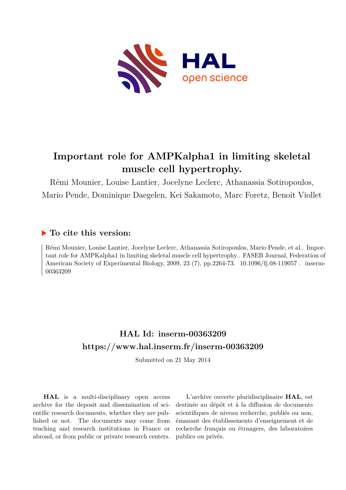

# **Important role for AMPKalpha1 in limiting skeletal muscle cell hypertrophy.**

Rémi Mounier, Louise Lantier, Jocelyne Leclerc, Athanassia Sotiropoulos, Mario Pende, Dominique Daegelen, Kei Sakamoto, Marc Foretz, Benoit Viollet

# **To cite this version:**

Rémi Mounier, Louise Lantier, Jocelyne Leclerc, Athanassia Sotiropoulos, Mario Pende, et al.. Important role for AMPKalpha1 in limiting skeletal muscle cell hypertrophy.. FASEB Journal, Federation of American Society of Experimental Biology, 2009, 23 (7), pp.2264-73. 10.1096/fj.08-119057. inserm-00363209ff

# **HAL Id: inserm-00363209 <https://www.hal.inserm.fr/inserm-00363209>**

Submitted on 21 May 2014

**HAL** is a multi-disciplinary open access archive for the deposit and dissemination of scientific research documents, whether they are published or not. The documents may come from teaching and research institutions in France or abroad, or from public or private research centers.

L'archive ouverte pluridisciplinaire **HAL**, est destinée au dépôt et à la diffusion de documents scientifiques de niveau recherche, publiés ou non, émanant des établissements d'enseignement et de recherche français ou étrangers, des laboratoires publics ou privés.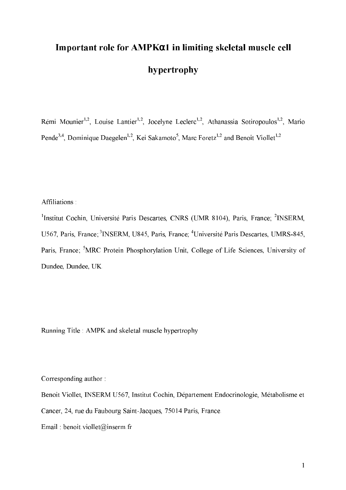# Important role for AMPK $\alpha$ 1 in limiting skeletal muscle cell hypertrophy

Rémi Mounier<sup>1,2</sup>, Louise Lantier<sup>1,2</sup>, Jocelyne Leclerc<sup>1,2</sup>, Athanassia Sotiropoulos<sup>1,2</sup>, Mario Pende<sup>3,4</sup>, Dominique Daegelen<sup>1,2</sup>, Kei Sakamoto<sup>5</sup>, Marc Foretz<sup>1,2</sup> and Benoit Viollet<sup>1,2</sup>

Affiliations:

<sup>1</sup>Institut Cochin, Université Paris Descartes, CNRS (UMR 8104), Paris, France; <sup>2</sup>INSERM, U567, Paris, France; <sup>3</sup>INSERM, U845, Paris, France; <sup>4</sup>Université Paris Descartes, UMRS-845, Paris, France; <sup>5</sup>MRC Protein Phosphorylation Unit, College of Life Sciences, University of Dundee, Dundee, UK.

Running Title : AMPK and skeletal muscle hypertrophy

Corresponding author:

Benoit Viollet, INSERM U567, Institut Cochin, Département Endocrinologie, Métabolisme et Cancer, 24, rue du Faubourg Saint-Jacques, 75014 Paris, France.

Email: benoit.viollet@inserm.fr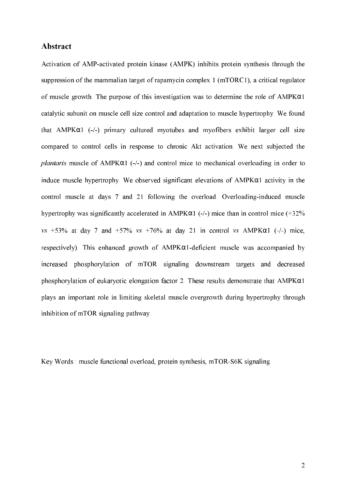#### Abstract

Activation of AMP-activated protein kinase (AMPK) inhibits protein synthesis through the suppression of the mammalian target of rapamycin complex 1 (mTORC1), a critical regulator of muscle growth. The purpose of this investigation was to determine the role of AMPK $\alpha$ 1 catalytic subunit on muscle cell size control and adaptation to muscle hypertrophy. We found that AMPK $\alpha$ 1 (-/-) primary cultured myotubes and myofibers exhibit larger cell size compared to control cells in response to chronic Akt activation. We next subjected the plantaris muscle of AMPK $\alpha$ 1 (-/-) and control mice to mechanical overloading in order to induce muscle hypertrophy. We observed significant elevations of  $AMPK\alpha1$  activity in the control muscle at days 7 and 21 following the overload. Overloading-induced muscle hypertrophy was significantly accelerated in AMPK $\alpha$ 1 (-/-) mice than in control mice (+32%)  $vs$  +53% at day 7 and +57% vs +76% at day 21 in control vs AMPK $\alpha$ 1 (-/-) mice, respectively). This enhanced growth of  $AMPK\alpha1$ -deficient muscle was accompanied by increased phosphorylation of mTOR signaling downstream targets and decreased phosphorylation of eukaryotic elongation factor 2. These results demonstrate that  $AMPK\alpha1$ plays an important role in limiting skeletal muscle overgrowth during hypertrophy through inhibition of mTOR signaling pathway.

Key Words: muscle functional overload, protein synthesis, mTOR-S6K signaling.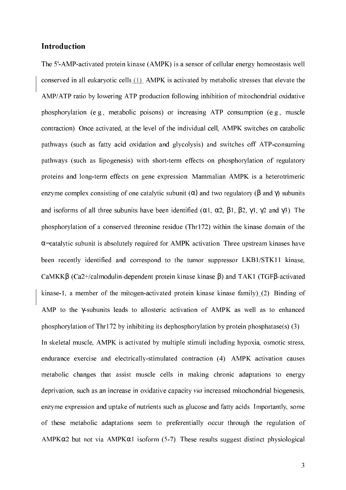#### **Introduction**

The 5'-AMP-activated protein kinase (AMPK) is a sensor of cellular energy homeostasis well conserved in all eukaryotic cells (1). AMPK is activated by metabolic stresses that elevate the AMP/ATP ratio by lowering ATP production following inhibition of mitochondrial oxidative phosphorylation (e.g., metabolic poisons) or increasing ATP consumption (e.g., muscle contraction). Once activated, at the level of the individual cell, AMPK switches on catabolic pathways (such as fatty acid oxidation and glycolysis) and switches off ATP-consuming pathways (such as lipogenesis) with short-term effects on phosphorylation of regulatory proteins and long-term effects on gene expression. Mammalian AMPK is a heterotrimeric enzyme complex consisting of one catalytic subunit ( $\alpha$ ) and two regulatory ( $\beta$  and  $\gamma$ ) subunits and isoforms of all three subunits have been identified ( $\alpha$ 1,  $\alpha$ 2,  $\beta$ 1,  $\beta$ 2,  $\gamma$ 1,  $\gamma$ 2 and  $\gamma$ 3). The phosphorylation of a conserved threonine residue (Thr172) within the kinase domain of the  $\alpha$ -catalytic subunit is absolutely required for AMPK activation. Three upstream kinases have been recently identified and correspond to the tumor suppressor LKB1/STK11 kinase, CaMKK $\beta$  (Ca2+/calmodulin-dependent protein kinase kinase  $\beta$ ) and TAK1 (TGF $\beta$ -activated kinase-1, a member of the mitogen-activated protein kinase kinase family) $(2)$ . Binding of AMP to the y-subunits leads to allosteric activation of AMPK as well as to enhanced phosphorylation of Thr172 by inhibiting its dephosphorylation by protein phosphatase(s) (3). In skeletal muscle, AMPK is activated by multiple stimuli including hypoxia, osmotic stress, endurance exercise and electrically-stimulated contraction (4). AMPK activation causes metabolic changes that assist muscle cells in making chronic adaptations to energy deprivation, such as an increase in oxidative capacity via increased mitochondrial biogenesis, enzyme expression and uptake of nutrients such as glucose and fatty acids. Importantly, some of these metabolic adaptations seem to preferentially occur through the regulation of  $AMPK\alpha2$  but not via  $AMPK\alpha1$  isoform (5-7). These results suggest distinct physiological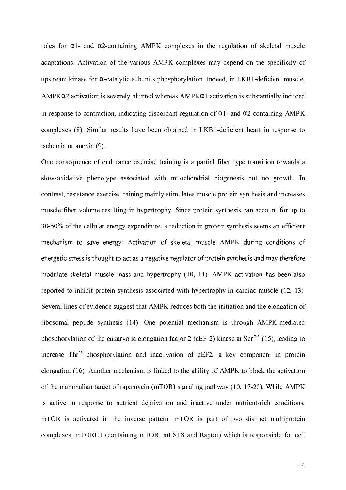roles for  $\alpha$ 1- and  $\alpha$ 2-containing AMPK complexes in the regulation of skeletal muscle adaptations. Activation of the various AMPK complexes may depend on the specificity of upstream kinase for  $\alpha$ -catalytic subunits phosphorylation. Indeed, in LKB1-deficient muscle,  $AMPK\alpha2$  activation is severely blunted whereas  $AMPK\alpha1$  activation is substantially induced in response to contraction, indicating discordant regulation of  $\alpha$ 1- and  $\alpha$ 2-containing AMPK complexes (8). Similar results have been obtained in LKB1-deficient heart in response to ischemia or anoxia (9).

One consequence of endurance exercise training is a partial fiber type transition towards a slow-oxidative phenotype associated with mitochondrial biogenesis but no growth. In contrast, resistance exercise training mainly stimulates muscle protein synthesis and increases muscle fiber volume resulting in hypertrophy. Since protein synthesis can account for up to 30-50% of the cellular energy expenditure, a reduction in protein synthesis seems an efficient mechanism to save energy. Activation of skeletal muscle AMPK during conditions of energetic stress is thought to act as a negative regulator of protein synthesis and may therefore modulate skeletal muscle mass and hypertrophy (10, 11). AMPK activation has been also reported to inhibit protein synthesis associated with hypertrophy in cardiac muscle (12, 13). Several lines of evidence suggest that AMPK reduces both the initiation and the elongation of ribosomal peptide synthesis (14). One potential mechanism is through AMPK-mediated phosphorylation of the eukaryotic elongation factor 2 (eEF-2) kinase at Ser<sup>398</sup> (15), leading to increase Thr<sup>56</sup> phosphorylation and inactivation of eEF2, a key component in protein elongation (16). Another mechanism is linked to the ability of AMPK to block the activation of the mammalian target of rapamycin (mTOR) signaling pathway (10, 17-20). While AMPK is active in response to nutrient deprivation and inactive under nutrient-rich conditions, mTOR is activated in the inverse pattern. mTOR is part of two distinct multiprotein complexes, mTORC1 (containing mTOR, mLST8 and Raptor) which is responsible for cell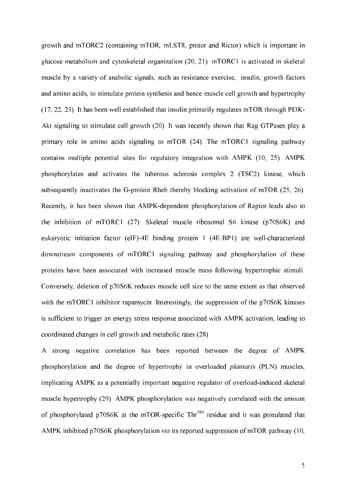growth and mTORC2 (containing mTOR, mLST8, protor and Rictor) which is important in glucose metabolism and cytoskeletal organization (20, 21). mTORC1 is activated in skeletal muscle by a variety of anabolic signals, such as resistance exercise, insulin, growth factors and amino acids, to stimulate protein synthesis and hence muscle cell growth and hypertrophy  $(17, 22, 23)$ . It has been well established that insulin primarily regulates mTOR through PI3K-Akt signaling to stimulate cell growth (20). It was recently shown that Rag GTPases play a primary role in amino acids signaling to mTOR (24). The mTORC1 signaling pathway contains multiple potential sites for regulatory integration with AMPK (10, 25). AMPK phosphorylates and activates the tuberous sclerosis complex 2 (TSC2) kinase, which subsequently inactivates the G-protein Rheb thereby blocking activation of mTOR (25, 26). Recently, it has been shown that AMPK-dependent phosphorylation of Raptor leads also to the inhibition of mTORC1 (27). Skeletal muscle ribosomal S6 kinase (p70S6K) and eukaryotic initiation factor (eIF)-4E binding protein 1 (4E-BP1) are well-characterized downstream components of mTORC1 signaling pathway and phosphorylation of these proteins have been associated with increased muscle mass following hypertrophic stimuli. Conversely, deletion of p70S6K reduces muscle cell size to the same extent as that observed with the mTORC1 inhibitor rapamycin. Interestingly, the suppression of the p70S6K kinases is sufficient to trigger an energy stress response associated with AMPK activation, leading to coordinated changes in cell growth and metabolic rates (28).

A strong negative correlation has been reported between the degree of AMPK phosphorylation and the degree of hypertrophy in overloaded plantaris (PLN) muscles, implicating AMPK as a potentially important negative regulator of overload-induced skeletal muscle hypertrophy (29). AMPK phosphorylation was negatively correlated with the amount of phosphorylated p70S6K at the mTOR-specific Thr<sup>389</sup> residue and it was postulated that AMPK inhibited p70S6K phosphorylation *via* its reported suppression of mTOR pathway (10,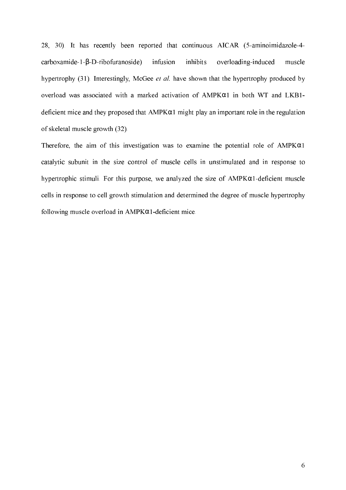28, 30). It has recently been reported that continuous AICAR (5-aminoimidazole-4 $carbonxamide-1-\beta-D-ribofuranoside)$ infusion inhibits overloading-induced muscle hypertrophy (31). Interestingly, McGee et al. have shown that the hypertrophy produced by overload was associated with a marked activation of AMPK $\alpha$ 1 in both WT and LKB1deficient mice and they proposed that  $AMPK\alpha1$  might play an important role in the regulation of skeletal muscle growth (32).

Therefore, the aim of this investigation was to examine the potential role of  $AMPK\alpha1$ catalytic subunit in the size control of muscle cells in unstimulated and in response to hypertrophic stimuli. For this purpose, we analyzed the size of  $AMPK\alpha1$ -deficient muscle cells in response to cell growth stimulation and determined the degree of muscle hypertrophy following muscle overload in  $AMPK\alpha1$ -deficient mice.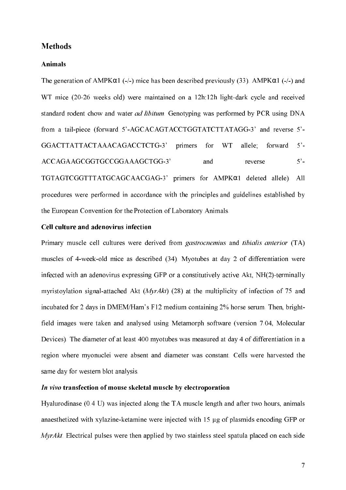#### **Methods**

## **Animals**

The generation of AMPK $\alpha$ 1 (-/-) mice has been described previously (33). AMPK $\alpha$ 1 (-/-) and WT mice (20-26 weeks old) were maintained on a 12h:12h light-dark cycle and received standard rodent chow and water *ad libitum*. Genotyping was performed by PCR using DNA from a tail-piece (forward 5'-AGCACAGTACCTGGTATCTTATAGG-3' and reverse 5'- GGACTTATTACTAAACAGACCTCTG-3' primers for WT allele; forward 5'- ACCAGAAGCGGTGCCGGAAAGCTGG-3' and reverse 5'-TGTAGTCGGTTTATGCAGCAACGAG-3' primers for AMPKα1 deleted allele). All procedures were performed in accordance with the principles and guidelines established by the European Convention for the Protection of Laboratory Animals.

## Cell culture and adenovirus infection

Primary muscle cell cultures were derived from *gastrocnemius* and *tibialis anterior* (TA) muscles of 4-week-old mice as described (34). Myotubes at day 2 of differentiation were infected with an adenovirus expressing GFP or a constitutively active Akt, NH(2)-terminally myristoylation signal-attached Akt  $(MyrAkt)$  (28) at the multiplicity of infection of 75 and incubated for 2 days in DMEM/Ham's F12 medium containing 2% horse serum. Then, brightfield images were taken and analysed using Metamorph software (version 7.04, Molecular Devices). The diameter of at least 400 myotubes was measured at day 4 of differentiation in a region where myonuclei were absent and diameter was constant. Cells were harvested the same day for western blot analysis.

# *In vivo transfection of mouse skeletal muscle by electroporation*

Hyalurodinase (0.4 U) was injected along the TA muscle length and after two hours, animals anaesthetized with xylazine-ketamine were injected with 15 µg of plasmids encoding GFP or  $MyrAkt$ . Electrical pulses were then applied by two stainless steel spatula placed on each side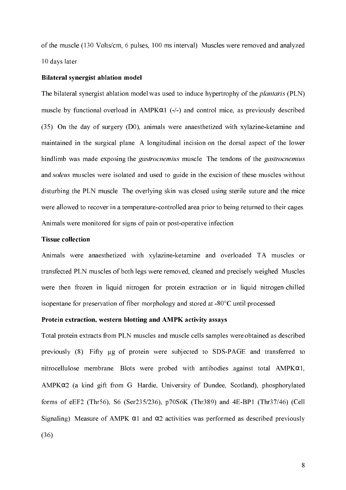of the muscle (130 Volts/cm, 6 pulses, 100 ms interval). Muscles were removed and analyzed 10 days later.

#### Bilateral synergist ablation model

The bilateral synergist ablation model was used to induce hypertrophy of the *plantaris* (PLN) muscle by functional overload in  $AMPK\alpha1$  (-/-) and control mice, as previously described (35). On the day of surgery (D0), animals were anaesthetized with xylazine-ketamine and maintained in the surgical plane. A longitudinal incision on the dorsal aspect of the lower hindlimb was made exposing the *gastrocnemius* muscle. The tendons of the *gastrocnemius* and soleus muscles were isolated and used to guide in the excision of these muscles without disturbing the PLN muscle. The overlying skin was closed using sterile suture and the mice were allowed to recover in a temperature-controlled area prior to being returned to their cages. Animals were monitored for signs of pain or post-operative infection.

#### **Tissue collection**

Animals were anaesthetized with xylazine-ketamine and overloaded TA muscles or transfected PLN muscles of both legs were removed, cleaned and precisely weighed. Muscles were then frozen in liquid nitrogen for protein extraction or in liquid nitrogen-chilled isopentane for preservation of fiber morphology and stored at -80°C until processed.

#### Protein extraction, western blotting and AMPK activity assays

Total protein extracts from PLN muscles and muscle cells samples were obtained as described previously (8). Fifty µg of protein were subjected to SDS-PAGE and transferred to nitrocellulose membrane. Blots were probed with antibodies against total  $AMPK\alpha1$ , AMPKα2 (a kind gift from G. Hardie, University of Dundee, Scotland), phosphorylated forms of eEF2 (Thr56), S6 (Ser235/236), p70S6K (Thr389) and 4E-BP1 (Thr37/46) (Cell Signaling). Measure of AMPK  $\alpha$ 1 and  $\alpha$ 2 activities was performed as described previously (36).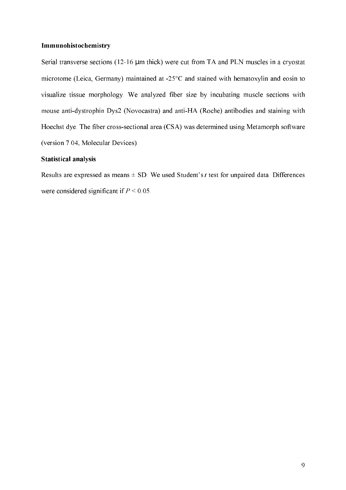#### Immunohistochemistry

Serial transverse sections (12-16 µm thick) were cut from TA and PLN muscles in a cryostat microtome (Leica, Germany) maintained at -25°C and stained with hematoxylin and eosin to visualize tissue morphology. We analyzed fiber size by incubating muscle sections with mouse anti-dystrophin Dys2 (Novocastra) and anti-HA (Roche) antibodies and staining with Hoechst dye. The fiber cross-sectional area (CSA) was determined using Metamorph software (version 7.04, Molecular Devices).

#### **Statistical analysis**

Results are expressed as means  $\pm$  SD. We used Student's t test for unpaired data. Differences were considered significant if  $P \le 0.05$ .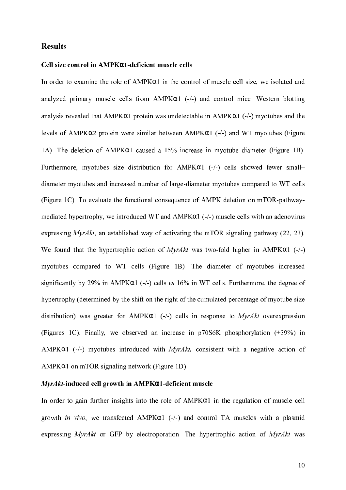#### **Results**

#### Cell size control in ΑΜΡΚα1-deficient muscle cells

In order to examine the role of AMPK $\alpha$ 1 in the control of muscle cell size, we isolated and analyzed primary muscle cells from  $AMPK\alpha1$  (-/-) and control mice. Western blotting analysis revealed that AMPK $\alpha$ 1 protein was undetectable in AMPK $\alpha$ 1 (-/-) myotubes and the levels of AMPK $\alpha$ 2 protein were similar between AMPK $\alpha$ 1 (-/-) and WT myotubes (Figure 1A). The deletion of AMPK $\alpha$ 1 caused a 15% increase in myotube diameter (Figure 1B). Furthermore, myotubes size distribution for AMPK $\alpha$ 1 (-/-) cells showed fewer smalldiameter myotubes and increased number of large-diameter myotubes compared to WT cells (Figure 1C). To evaluate the functional consequence of AMPK deletion on mTOR-pathwaymediated hypertrophy, we introduced WT and  $AMPK\alpha1$  (-/-) muscle cells with an adenovirus expressing  $MyrAkt$ , an established way of activating the mTOR signaling pathway (22, 23). We found that the hypertrophic action of *MyrAkt* was two-fold higher in AMPK $\alpha$ 1 (-/-) myotubes compared to WT cells (Figure 1B). The diameter of myotubes increased significantly by 29% in AMPK $\alpha$ 1 (-/-) cells vs 16% in WT cells. Furthermore, the degree of hypertrophy (determined by the shift on the right of the cumulated percentage of myotube size distribution) was greater for AMPK $\alpha$ 1 (-/-) cells in response to MyrAkt overexpression (Figures 1C). Finally, we observed an increase in  $p70S6K$  phosphorylation  $(+39\%)$  in AMPK $\alpha$ 1 (-/-) myotubes introduced with *MyrAkt*, consistent with a negative action of  $AMPK\alpha1$  on mTOR signaling network (Figure 1D).

#### $MyrAkt$ -induced cell growth in AMPK $\alpha$ 1-deficient muscle

In order to gain further insights into the role of  $AMPK\alpha1$  in the regulation of muscle cell growth in vivo, we transfected  $AMPK\alpha1$  (-/-) and control TA muscles with a plasmid expressing MyrAkt or GFP by electroporation. The hypertrophic action of MyrAkt was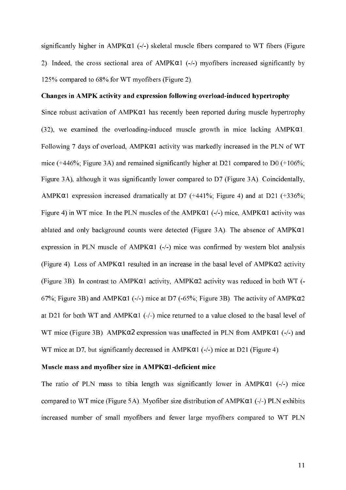significantly higher in  $AMPK\alpha1$  (-/-) skeletal muscle fibers compared to WT fibers (Figure 2). Indeed, the cross sectional area of  $AMPK\alpha1$  (-/-) myofibers increased significantly by 125% compared to 68% for WT myofibers (Figure 2).

#### Changes in AMPK activity and expression following overload-induced hypertrophy

Since robust activation of  $AMPK\alpha1$  has recently been reported during muscle hypertrophy (32), we examined the overloading-induced muscle growth in mice lacking  $AMPK\alpha1$ . Following 7 days of overload,  $AMPK\alpha1$  activity was markedly increased in the PLN of WT mice (+446%; Figure 3A) and remained significantly higher at D21 compared to D0 (+106%; Figure 3A), although it was significantly lower compared to D7 (Figure 3A). Coincidentally, AMPK $\alpha$ 1 expression increased dramatically at D7 (+441%; Figure 4) and at D21 (+336%; Figure 4) in WT mice. In the PLN muscles of the  $AMPK\alpha1$  (-/-) mice,  $AMPK\alpha1$  activity was ablated and only background counts were detected (Figure 3A). The absence of  $AMPK\alpha1$ expression in PLN muscle of  $AMPK\alpha1$  (-/-) mice was confirmed by western blot analysis (Figure 4). Loss of AMPK $\alpha$ 1 resulted in an increase in the basal level of AMPK $\alpha$ 2 activity (Figure 3B). In contrast to AMPK $\alpha$ 1 activity, AMPK $\alpha$ 2 activity was reduced in both WT (-67%; Figure 3B) and AMPK $\alpha$ 1 (-/-) mice at D7 (-65%; Figure 3B). The activity of AMPK $\alpha$ 2 at D21 for both WT and  $AMPK\alpha1$  (-/-) mice returned to a value closed to the basal level of WT mice (Figure 3B). AMPK $\alpha$ 2 expression was unaffected in PLN from AMPK $\alpha$ 1 (-/-) and WT mice at D7, but significantly decreased in  $AMPK\alpha1$  (-/-) mice at D21 (Figure 4).

#### Muscle mass and myofiber size in AMPKa1-deficient mice

The ratio of PLN mass to tibia length was significantly lower in AMPK $\alpha$ 1 (-/-) mice compared to WT mice (Figure 5A). Myofiber size distribution of  $AMPK\alpha1$  (-/-) PLN exhibits increased number of small myofibers and fewer large myofibers compared to WT PLN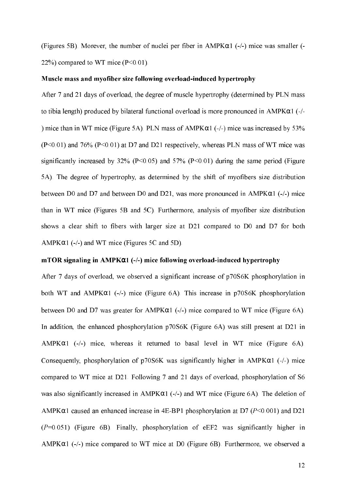(Figures 5B). Morever, the number of nuclei per fiber in  $AMPK\alpha1$  (-/-) mice was smaller (-22%) compared to WT mice  $(P<0.01)$ .

#### Muscle mass and myofiber size following overload-induced hypertrophy

After 7 and 21 days of overload, the degree of muscle hypertrophy (determined by PLN mass to tibia length) produced by bilateral functional overload is more pronounced in AMPK $\alpha$ 1 (-/-) mice than in WT mice (Figure 5A). PLN mass of  $AMPK\alpha1$  (-/-) mice was increased by 53%  $(P<0.01)$  and 76%  $(P<0.01)$  at D7 and D21 respectively, whereas PLN mass of WT mice was significantly increased by 32% ( $P < 0.05$ ) and 57% ( $P < 0.01$ ) during the same period (Figure 5A). The degree of hypertrophy, as determined by the shift of myofibers size distribution between D0 and D7 and between D0 and D21, was more pronounced in  $AMPK\alpha1$  (-/-) mice than in WT mice (Figures 5B and 5C). Furthermore, analysis of myofiber size distribution shows a clear shift to fibers with larger size at D21 compared to D0 and D7 for both  $AMPK\alpha1$  (-/-) and WT mice (Figures 5C and 5D).

#### $mTOR$  signaling in AMPK $\alpha$ 1 (-/-) mice following overload-induced hypertrophy

After 7 days of overload, we observed a significant increase of p70S6K phosphorylation in both WT and  $AMPK\alpha1$  (-/-) mice (Figure 6A). This increase in p70S6K phosphorylation between D0 and D7 was greater for  $AMPK\alpha1$  (-/-) mice compared to WT mice (Figure 6A). In addition, the enhanced phosphorylation p70S6K (Figure 6A) was still present at D21 in  $AMPK\alpha1$  (-/-) mice, whereas it returned to basal level in WT mice (Figure 6A). Consequently, phosphorylation of  $p70S6K$  was significantly higher in AMPK $\alpha$ 1 (-/-) mice compared to WT mice at D21. Following 7 and 21 days of overload, phosphorylation of S6 was also significantly increased in  $AMPK\alpha1$  (-/-) and WT mice (Figure 6A). The deletion of AMPK $\alpha$ 1 caused an enhanced increase in 4E-BP1 phosphorylation at D7 ( $P \le 0.001$ ) and D21  $(P=0.051)$  (Figure 6B). Finally, phosphorylation of eEF2 was significantly higher in  $AMPK\alpha1$  (-/-) mice compared to WT mice at D0 (Figure 6B). Furthermore, we observed a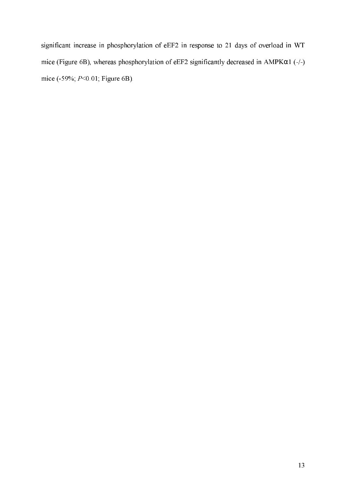significant increase in phosphorylation of eEF2 in response to 21 days of overload in WT mice (Figure 6B), whereas phosphorylation of eEF2 significantly decreased in AMPK $\alpha$ 1 (-/-) mice (-59%; P<0.01; Figure 6B).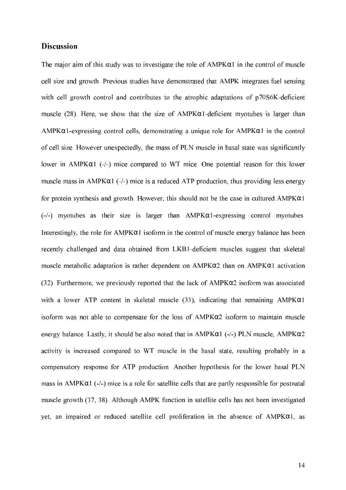#### **Discussion**

The major aim of this study was to investigate the role of  $AMPK\alpha1$  in the control of muscle cell size and growth. Previous studies have demonstrated that AMPK integrates fuel sensing with cell growth control and contributes to the atrophic adaptations of p70S6K-deficient muscle (28). Here, we show that the size of  $AMPK\alpha1$ -deficient myotubes is larger than  $AMPK\alpha1$ -expressing control cells, demonstrating a unique role for  $AMPK\alpha1$  in the control of cell size. However unexpectedly, the mass of PLN muscle in basal state was significantly lower in  $AMPK\alpha1$  (-/-) mice compared to WT mice. One potential reason for this lower muscle mass in  $AMPK\alpha1$  (-/-) mice is a reduced ATP production, thus providing less energy for protein synthesis and growth. However, this should not be the case in cultured  $AMPK\alpha1$  $(-/-)$  myotubes as their size is larger than AMPK $\alpha$ 1-expressing control myotubes. Interestingly, the role for  $AMPK\alpha1$  isoform in the control of muscle energy balance has been recently challenged and data obtained from LKB1-deficient muscles suggest that skeletal muscle metabolic adaptation is rather dependent on  $AMPK\alpha2$  than on  $AMPK\alpha1$  activation  $(32)$ . Furthermore, we previously reported that the lack of AMPK $\alpha$ 2 isoform was associated with a lower ATP content in skeletal muscle (33), indicating that remaining  $AMPK@1$ isoform was not able to compensate for the loss of  $AMPK\alpha2$  isoform to maintain muscle energy balance. Lastly, it should be also noted that in AMPK $\alpha$ 1 (-/-) PLN muscle, AMPK $\alpha$ 2 activity is increased compared to WT muscle in the basal state, resulting probably in a compensatory response for ATP production. Another hypothesis for the lower basal PLN mass in AMPK $\alpha$ 1 (-/-) mice is a role for satellite cells that are partly responsible for postnatal muscle growth (37, 38). Although AMPK function in satellite cells has not been investigated yet, an impaired or reduced satellite cell proliferation in the absence of  $AMPK\alpha1$ , as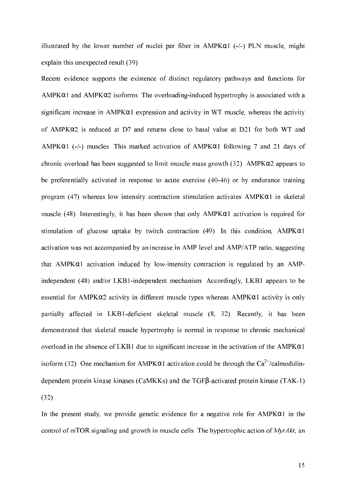illustrated by the lower number of nuclei per fiber in  $AMPK\alpha1$  (-/-) PLN muscle, might explain this unexpected result (39).

Recent evidence supports the existence of distinct regulatory pathways and functions for  $AMPK\alpha1$  and  $AMPK\alpha2$  isoforms. The overloading-induced hypertrophy is associated with a significant increase in  $AMPK\alpha1$  expression and activity in WT muscle, whereas the activity of AMPK $\alpha$ 2 is reduced at D7 and returns close to basal value at D21 for both WT and AMPK $\alpha$ 1 (-/-) muscles. This marked activation of AMPK $\alpha$ 1 following 7 and 21 days of chronic overload has been suggested to limit muscle mass growth  $(32)$ . AMPK $\alpha$ 2 appears to be preferentially activated in response to acute exercise (40-46) or by endurance training program (47) whereas low intensity contraction stimulation activates  $AMPK\alpha1$  in skeletal muscle (48). Interestingly, it has been shown that only  $AMPK\alpha1$  activation is required for stimulation of glucose uptake by twitch contraction (49). In this condition, AMPK $\alpha$ 1 activation was not accompanied by an increase in AMP level and AMP/ATP ratio, suggesting that AMPK $\alpha$ 1 activation induced by low-intensity contraction is regulated by an AMPindependent (48) and/or LKB1-independent mechanism. Accordingly, LKB1 appears to be essential for AMPK $\alpha$ 2 activity in different muscle types whereas AMPK $\alpha$ 1 activity is only partially affected in LKB1-deficient skeletal muscle (8, 32). Recently, it has been demonstrated that skeletal muscle hypertrophy is normal in response to chronic mechanical overload in the absence of LKB1 due to significant increase in the activation of the AMPK $\alpha$ 1 isoform (32). One mechanism for AMPK $\alpha$ 1 activation could be through the Ca<sup>2+</sup>/calmodulindependent protein kinase kinases (CaMKKs) and the TGFβ-activated protein kinase (TAK-1)  $(32)$ .

In the present study, we provide genetic evidence for a negative role for  $AMPK\alpha1$  in the control of mTOR signaling and growth in muscle cells. The hypertrophic action of  $MyrAtt$ , an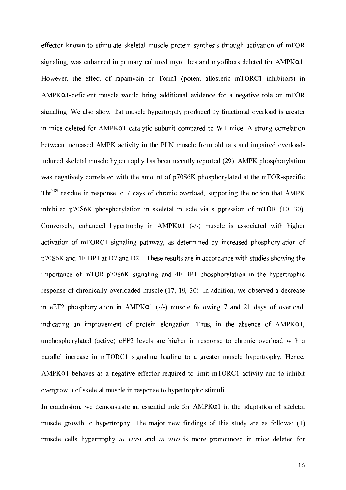effector known to stimulate skeletal muscle protein synthesis through activation of mTOR signaling, was enhanced in primary cultured myotubes and myofibers deleted for  $AMPK\alpha1$ . However, the effect of rapamycin or Torin1 (potent allosteric mTORC1 inhibitors) in  $AMPK\alpha1$ -deficient muscle would bring additional evidence for a negative role on mTOR signaling. We also show that muscle hypertrophy produced by functional overload is greater in mice deleted for AMPK $\alpha$ 1 catalytic subunit compared to WT mice. A strong correlation between increased AMPK activity in the PLN muscle from old rats and impaired overloadinduced skeletal muscle hypertrophy has been recently reported (29). AMPK phosphorylation was negatively correlated with the amount of p70S6K phosphorylated at the mTOR-specific Thr<sup>389</sup> residue in response to 7 days of chronic overload, supporting the notion that AMPK inhibited p70S6K phosphorylation in skeletal muscle via suppression of mTOR (10, 30). Conversely, enhanced hypertrophy in  $AMPK\alpha1$  (-/-) muscle is associated with higher activation of mTORC1 signaling pathway, as determined by increased phosphorylation of p70S6K and 4E-BP1 at D7 and D21. These results are in accordance with studies showing the importance of mTOR-p70S6K signaling and 4E-BP1 phosphorylation in the hypertrophic response of chronically-overloaded muscle (17, 19, 30). In addition, we observed a decrease in eEF2 phosphorylation in AMPK $\alpha$ 1 (-/-) muscle following 7 and 21 days of overload, indicating an improvement of protein elongation. Thus, in the absence of  $AMPK\alpha1$ , unphosphorylated (active) eEF2 levels are higher in response to chronic overload with a parallel increase in mTORC1 signaling leading to a greater muscle hypertrophy. Hence,  $AMPK\alpha1$  behaves as a negative effector required to limit mTORC1 activity and to inhibit overgrowth of skeletal muscle in response to hypertrophic stimuli.

In conclusion, we demonstrate an essential role for  $AMPK\alpha1$  in the adaptation of skeletal muscle growth to hypertrophy. The major new findings of this study are as follows: (1) muscle cells hypertrophy in vitro and in vivo is more pronounced in mice deleted for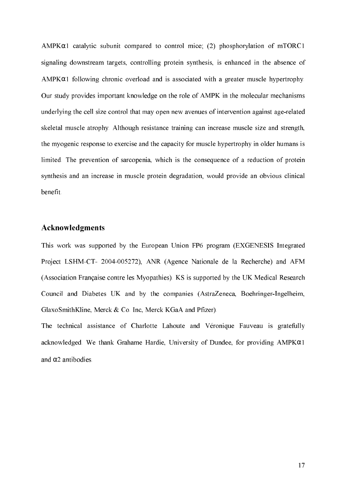AMPK $\alpha$ 1 catalytic subunit compared to control mice; (2) phosphorylation of mTORC1 signaling downstream targets, controlling protein synthesis, is enhanced in the absence of  $AMPK\alpha1$  following chronic overload and is associated with a greater muscle hypertrophy. Our study provides important knowledge on the role of AMPK in the molecular mechanisms underlying the cell size control that may open new avenues of intervention against age-related skeletal muscle atrophy. Although resistance training can increase muscle size and strength, the myogenic response to exercise and the capacity for muscle hypertrophy in older humans is limited. The prevention of sarcopenia, which is the consequence of a reduction of protein synthesis and an increase in muscle protein degradation, would provide an obvious clinical benefit.

### Acknowledgments

This work was supported by the European Union FP6 program (EXGENESIS Integrated Project LSHM-CT- 2004-005272), ANR (Agence Nationale de la Recherche) and AFM (Association Française contre les Myopathies). KS is supported by the UK Medical Research Council and Diabetes UK and by the companies (AstraZeneca, Boehringer-Ingelheim, GlaxoSmithKline, Merck & Co. Inc, Merck KGaA and Pfizer).

The technical assistance of Charlotte Lahoute and Véronique Fauveau is gratefully acknowledged. We thank Grahame Hardie, University of Dundee, for providing  $AMPK\alpha1$ and  $\alpha$ 2 antibodies.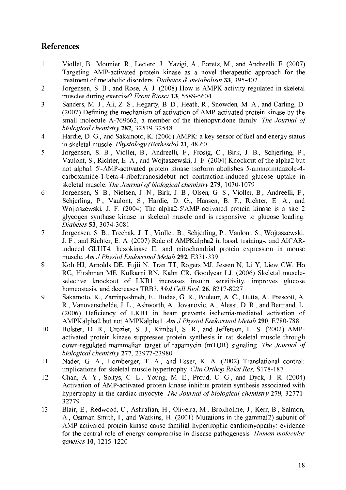# **References**

- Viollet, B., Mounier, R., Leclerc, J., Yazigi, A., Foretz, M., and Andreelli, F. (2007)  $1<sub>1</sub>$ Targeting AMP-activated protein kinase as a novel therapeutic approach for the treatment of metabolic disorders. Diabetes & metabolism 33, 395-402
- $\overline{2}$ . Jorgensen, S. B., and Rose, A. J. (2008) How is AMPK activity regulated in skeletal muscles during exercise? Front Biosci 13, 5589-5604
- Sanders, M. J., Ali, Z. S., Hegarty, B. D., Heath, R., Snowden, M. A., and Carling, D.  $3<sub>1</sub>$ (2007) Defining the mechanism of activation of AMP-activated protein kinase by the small molecule A-769662, a member of the thienopyridone family. The Journal of biological chemistry 282, 32539-32548
- Hardie, D. G., and Sakamoto, K. (2006) AMPK: a key sensor of fuel and energy status  $\overline{4}$ . in skeletal muscle. Physiology (Bethesda) 21, 48-60
- Jorgensen, S. B., Viollet, B., Andreelli, F., Frosig, C., Birk, J. B., Schierling, P.,  $5<sub>1</sub>$ Vaulont, S., Richter, E. A., and Wojtaszewski, J. F. (2004) Knockout of the alpha2 but not alpha1 5'-AMP-activated protein kinase isoform abolishes 5-aminoimidazole-4carboxamide-1-beta-4-ribofuranosidebut not contraction-induced glucose uptake in skeletal muscle. The Journal of biological chemistry 279, 1070-1079
- 6. Jorgensen, S. B., Nielsen, J. N., Birk, J. B., Olsen, G. S., Viollet, B., Andreelli, F., Schierling, P., Vaulont, S., Hardie, D. G., Hansen, B. F., Richter, E. A., and Woitaszewski, J. F. (2004) The alpha2-5'AMP-activated protein kinase is a site 2 glycogen synthase kinase in skeletal muscle and is responsive to glucose loading. Diabetes 53, 3074-3081
- Jorgensen, S. B., Treebak, J. T., Viollet, B., Schjerling, P., Vaulont, S., Wojtaszewski,  $7<sub>1</sub>$ J. F., and Richter, E. A. (2007) Role of AMPKalpha2 in basal, training-, and AICARinduced GLUT4, hexokinase II, and mitochondrial protein expression in mouse muscle. Am J Physiol Endocrinol Metab 292, E331-339
- 8. Koh HJ, Arnolds DE, Fujii N, Tran TT, Rogers MJ, Jessen N, Li Y, Liew CW, Ho RC, Hirshman MF, Kulkarni RN, Kahn CR, Goodyear LJ. (2006) Skeletal muscleselective knockout of LKB1 increases insulin sensitivity, improves glucose homeostasis, and decreases TRB3. Mol Cell Biol. 26, 8217-8227
- Sakamoto, K., Zarrinpashneh, E., Budas, G. R., Pouleur, A. C., Dutta, A., Prescott, A.  $9<sub>1</sub>$ R., Vanoverschelde, J. L., Ashworth, A., Jovanovic, A., Alessi, D. R., and Bertrand, L. (2006) Deficiency of LKB1 in heart prevents ischemia-mediated activation of AMPKalpha2 but not AMPKalpha1. Am J Physiol Endocrinol Metab 290, E780-788
- 10. Bolster, D. R., Crozier, S. J., Kimball, S. R., and Jefferson, L. S. (2002) AMPactivated protein kinase suppresses protein synthesis in rat skeletal muscle through down-regulated mammalian target of rapamycin (mTOR) signaling. The Journal of biological chemistry 277, 23977-23980
- Nader, G. A., Hornberger, T. A., and Esser, K. A. (2002) Translational control: 11. implications for skeletal muscle hypertrophy. Clin Orthop Relat Res, S178-187
- Chan, A. Y., Soltys, C. L., Young, M. E., Proud, C. G., and Dyck, J. R. (2004) 12. Activation of AMP-activated protein kinase inhibits protein synthesis associated with hypertrophy in the cardiac myocyte. The Journal of biological chemistry 279, 32771-32779
- 13. Blair, E., Redwood, C., Ashrafian, H., Oliveira, M., Broxholme, J., Kerr, B., Salmon, A., Ostman-Smith, I., and Watkins, H. (2001) Mutations in the gamma(2) subunit of AMP-activated protein kinase cause familial hypertrophic cardiomyopathy: evidence for the central role of energy compromise in disease pathogenesis. Human molecular genetics 10, 1215-1220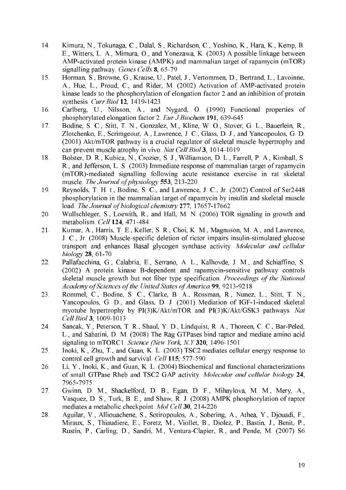- 14. Kimura, N., Tokunaga, C., Dalal, S., Richardson, C., Yoshino, K., Hara, K., Kemp, B. E., Witters, L. A., Mimura, O., and Yonezawa, K. (2003) A possible linkage between AMP-activated protein kinase (AMPK) and mammalian target of rapamycin (mTOR) signalling pathway. Genes Cells 8, 65-79
- 15. Horman, S., Browne, G., Krause, U., Patel, J., Vertommen, D., Bertrand, L., Lavoinne, A., Hue, L., Proud, C., and Rider, M. (2002) Activation of AMP-activated protein kinase leads to the phosphorylation of elongation factor 2 and an inhibition of protein synthesis. Curr Biol 12, 1419-1423
- 16. Carlberg, U., Nilsson, A., and Nygard, O. (1990) Functional properties of phosphorylated elongation factor 2. Eur J Biochem 191, 639-645
- 17. Bodine, S. C., Stitt. T. N., Gonzalez, M., Kline, W. O., Stover, G. L., Bauerlein, R., Zlotchenko, E., Scrimgeour, A., Lawrence, J. C., Glass, D. J., and Yancopoulos, G. D. (2001) Akt/mTOR pathway is a crucial regulator of skeletal muscle hypertrophy and can prevent muscle atrophy in vivo. Nat Cell Biol 3, 1014-1019
- 18. Bolster, D. R., Kubica, N., Crozier, S. J., Williamson, D. L., Farrell, P. A., Kimball, S. R., and Jefferson, L. S. (2003) Immediate response of mammalian target of rapamycin (mTOR)-mediated signalling following acute resistance exercise in rat skeletal muscle. The Journal of physiology 553, 213-220
- Reynolds, T. H. t., Bodine, S. C., and Lawrence, J. C., Jr. (2002) Control of Ser2448 19. phosphorylation in the mammalian target of rapamycin by insulin and skeletal muscle load. The Journal of biological chemistry 277, 17657-17662
- 20 Wullschleger, S., Loewith, R., and Hall, M. N. (2006) TOR signaling in growth and metabolism. Cell 124, 471-484
- Kumar, A., Harris, T. E., Keller, S. R., Choi, K. M., Magnuson, M. A., and Lawrence,  $21.$ J. C., Jr. (2008) Muscle-specific deletion of rictor impairs insulin-stimulated glucose transport and enhances Basal glycogen synthase activity. Molecular and cellular biology 28, 61-70
- 22. Pallafacchina, G., Calabria, E., Serrano, A. L., Kalhovde, J. M., and Schiaffino, S. (2002) A protein kinase B-dependent and rapamycin-sensitive pathway controls skeletal muscle growth but not fiber type specification. Proceedings of the National Academy of Sciences of the United States of America 99, 9213-9218
- Rommel, C., Bodine, S. C., Clarke, B. A., Rossman, R., Nunez, L., Stitt, T. N., 23. Yancopoulos, G. D., and Glass, D. J. (2001) Mediation of IGF-1-induced skeletal myotube hypertrophy by PI(3)K/Akt/mTOR and PI(3)K/Akt/GSK3 pathways. Nat Cell Biol 3, 1009-1013
- 24. Sancak, Y., Peterson, T. R., Shaul, Y. D., Lindquist, R. A., Thoreen, C. C., Bar-Peled, L., and Sabatini, D. M. (2008) The Rag GTPases bind raptor and mediate amino acid signaling to mTORC1. Science (New York, N.Y 320, 1496-1501)
- Inoki, K., Zhu, T., and Guan, K. L. (2003) TSC2 mediates cellular energy response to 25. control cell growth and survival. Cell 115, 577-590
- Li, Y., Inoki, K., and Guan, K. L. (2004) Biochemical and functional characterizations 26. of small GTPase Rheb and TSC2 GAP activity. Molecular and cellular biology 24, 7965-7975
- 27. Gwinn, D. M., Shackelford, D. B., Egan, D. F., Mihaylova, M. M., Mery, A., Vasquez, D. S., Turk, B. E., and Shaw, R. J. (2008) AMPK phosphorylation of raptor mediates a metabolic checkpoint. Mol Cell 30, 214-226
- Aguilar, V., Alliouachene, S., Sotiropoulos, A., Sobering, A., Athea, Y., Djouadi, F., 28. Miraux, S., Thiaudiere, E., Foretz, M., Viollet, B., Diolez, P., Bastin, J., Benit, P., Rustin, P., Carling, D., Sandri, M., Ventura-Clapier, R., and Pende, M. (2007) S6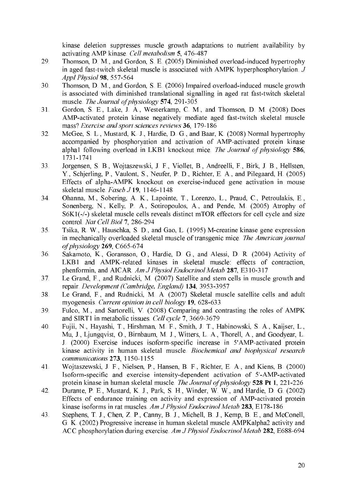kinase deletion suppresses muscle growth adaptations to nutrient availability by activating AMP kinase. Cell metabolism 5, 476-487

- Thomson, D. M., and Gordon, S. E. (2005) Diminished overload-induced hypertrophy 29. in aged fast-twitch skeletal muscle is associated with AMPK hyperphosphorylation.  $J$ Appl Physiol 98, 557-564
- 30. Thomson, D. M., and Gordon, S. E. (2006) Impaired overload-induced muscle growth is associated with diminished translational signalling in aged rat fast-twitch skeletal muscle. The Journal of physiology 574, 291-305
- $31.$ Gordon, S. E., Lake, J. A., Westerkamp, C. M., and Thomson, D. M. (2008) Does AMP-activated protein kinase negatively mediate aged fast-twitch skeletal muscle mass? Exercise and sport sciences reviews 36, 179-186
- $32.$ McGee, S. L., Mustard, K. J., Hardie, D. G., and Baar, K. (2008) Normal hypertrophy accompanied by phosphoryation and activation of AMP-activated protein kinase alpha1 following overload in LKB1 knockout mice. The Journal of physiology 586, 1731-1741
- Jorgensen, S. B., Wojtaszewski, J. F., Viollet, B., Andreelli, F., Birk, J. B., Hellsten, 33. Y., Schierling, P., Vaulont, S., Neufer, P. D., Richter, E. A., and Pilegaard, H. (2005) Effects of alpha-AMPK knockout on exercise-induced gene activation in mouse skeletal muscle. Faseb J 19, 1146-1148
- Ohanna, M., Sobering, A. K., Lapointe, T., Lorenzo, L., Praud, C., Petroulakis, E., 34. Sonenberg, N., Kelly, P. A., Sotiropoulos, A., and Pende, M. (2005) Atrophy of S6K1(-/-) skeletal muscle cells reveals distinct mTOR effectors for cell cycle and size control. Nat Cell Biol 7, 286-294
- Tsika, R. W., Hauschka, S. D., and Gao, L. (1995) M-creatine kinase gene expression 35. in mechanically overloaded skeletal muscle of transgenic mice. The American journal of physiology 269, C665-674
- 36. Sakamoto, K., Goransson, O., Hardie, D. G., and Alessi, D. R. (2004) Activity of LKB1 and AMPK-related kinases in skeletal muscle: effects of contraction, phenformin, and AICAR. Am J Physiol Endocrinol Metab 287, E310-317
- 37. Le Grand, F., and Rudnicki, M. (2007) Satellite and stem cells in muscle growth and repair. Development (Cambridge, England) 134, 3953-3957
- Le Grand, F., and Rudnicki, M. A. (2007) Skeletal muscle satellite cells and adult 38. myogenesis. Current opinion in cell biology 19, 628-633
- Fulco, M., and Sartorelli, V. (2008) Comparing and contrasting the roles of AMPK 39 and SIRT1 in metabolic tissues. Cell cycle 7, 3669-3679
- Fujii, N., Hayashi, T., Hirshman, M. F., Smith, J. T., Habinowski, S. A., Kaijser, L., 40. Mu, J., Ljungqvist, O., Birnbaum, M. J., Witters, L. A., Thorell, A., and Goodyear, L. J. (2000) Exercise induces isoform-specific increase in 5'AMP-activated protein kinase activity in human skeletal muscle. Biochemical and biophysical research communications 273, 1150-1155
- Wojtaszewski, J. F., Nielsen, P., Hansen, B. F., Richter, E. A., and Kiens, B. (2000) 41. Isoform-specific and exercise intensity-dependent activation of 5'-AMP-activated protein kinase in human skeletal muscle. The Journal of physiology 528 Pt 1, 221-226
- 42. Durante, P. E., Mustard, K. J., Park, S. H., Winder, W. W., and Hardie, D. G. (2002) Effects of endurance training on activity and expression of AMP-activated protein kinase isoforms in rat muscles. Am J Physiol Endocrinol Metab 283, E178-186
- Stephens, T. J., Chen, Z. P., Canny, B. J., Michell, B. J., Kemp, B. E., and McConell, 43. G. K. (2002) Progressive increase in human skeletal muscle AMPKalpha2 activity and ACC phosphorylation during exercise. Am J Physiol Endocrinol Metab 282, E688-694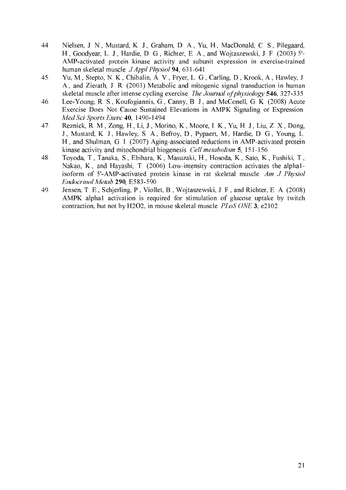- 44. Nielsen, J. N., Mustard, K. J., Graham, D. A., Yu, H., MacDonald, C. S., Pilegaard, H., Goodyear, L. J., Hardie, D. G., Richter, E. A., and Wojtaszewski, J. F. (2003) 5'-AMP-activated protein kinase activity and subunit expression in exercise-trained human skeletal muscle. J Appl Physiol 94, 631-641
- 45. Yu, M., Stepto, N. K., Chibalin, A. V., Fryer, L. G., Carling, D., Krook, A., Hawley, J. A., and Zierath, J. R. (2003) Metabolic and mitogenic signal transduction in human skeletal muscle after intense cycling exercise. The Journal of physiology 546, 327-335
- Lee-Young, R. S., Koufogiannis, G., Canny, B. J., and McConell, G. K. (2008) Acute 46. Exercise Does Not Cause Sustained Elevations in AMPK Signaling or Expression. Med Sci Sports Exerc 40, 1490-1494
- 47. Reznick, R. M., Zong, H., Li, J., Morino, K., Moore, I. K., Yu, H. J., Liu, Z. X., Dong, J., Mustard, K. J., Hawley, S. A., Befroy, D., Pypaert, M., Hardie, D. G., Young, L. H., and Shulman, G. I. (2007) Aging-associated reductions in AMP-activated protein kinase activity and mitochondrial biogenesis. Cell metabolism 5, 151-156
- 48 Toyoda, T., Tanaka, S., Ebihara, K., Masuzaki, H., Hosoda, K., Sato, K., Fushiki, T., Nakao, K., and Hayashi, T. (2006) Low-intensity contraction activates the alpha1isoform of 5'-AMP-activated protein kinase in rat skeletal muscle. Am J Physiol Endocrinol Metab 290, E583-590
- 49. Jensen, T. E., Schjerling, P., Viollet, B., Wojtaszewski, J. F., and Richter, E. A. (2008) AMPK alpha1 activation is required for stimulation of glucose uptake by twitch contraction, but not by H2O2, in mouse skeletal muscle, *PLoS ONE* 3, e2102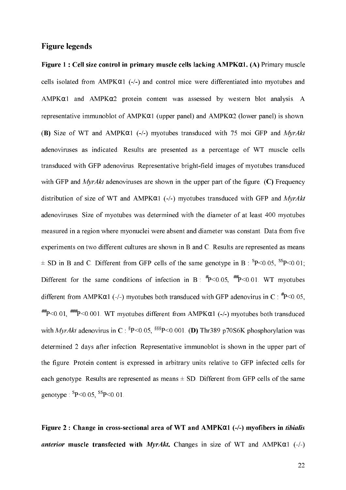#### **Figure legends**

Figure 1 : Cell size control in primary muscle cells lacking  $AMPKQ1$ . (A) Primary muscle cells isolated from AMPK $\alpha$ 1 (-/-) and control mice were differentiated into myotubes and  $AMPK\alpha1$  and  $AMPK\alpha2$  protein content was assessed by western blot analysis. A representative immunoblot of AMPK $\alpha$ 1 (upper panel) and AMPK $\alpha$ 2 (lower panel) is shown. (B) Size of WT and AMPK $\alpha$ 1 (-/-) myotubes transduced with 75 moi GFP and MyrAkt adenoviruses as indicated. Results are presented as a percentage of WT muscle cells transduced with GFP adenovirus. Representative bright-field images of myotubes transduced with GFP and  $MyrAkt$  adenoviruses are shown in the upper part of the figure. (C) Frequency distribution of size of WT and AMPK $\alpha$ 1 (-/-) myotubes transduced with GFP and MyrAkt adenoviruses. Size of myotubes was determined with the diameter of at least 400 myotubes measured in a region where myonuclei were absent and diameter was constant. Data from five experiments on two different cultures are shown in B and C. Results are represented as means  $\pm$  SD in B and C. Different from GFP cells of the same genotype in B:  ${}^{s}P$  < 0.05,  ${}^{ss}P$  < 0.01; Different for the same conditions of infection in B:  $^{#}P<0.05$ ,  $^{#}P<0.01$ . WT myotubes different from AMPK $\alpha$ 1 (-/-) myotubes both transduced with GFP adenovirus in C:  ${}^{*}P$  < 0.05,  $^{++}P<0.01$ .  $^{+++}P<0.001$ . WT myotubes different from AMPK $\alpha$ 1 (-/-) myotubes both transduced with MyrAkt adenovirus in C:  ${}^{8}P<0.05$ ,  ${}^{888}P<0.001$ . (D) Thr389 p70S6K phosphorylation was determined 2 days after infection. Representative immunoblot is shown in the upper part of the figure. Protein content is expressed in arbitrary units relative to GFP infected cells for each genotype. Results are represented as means  $\pm$  SD. Different from GFP cells of the same genotype:  ${}^{s}P<0.05$ ,  ${}^{s}P<0.01$ .

Figure 2: Change in cross-sectional area of WT and  $AMPK\alpha1$  (-/-) myofibers in *tibialis* anterior muscle transfected with MyrAkt. Changes in size of WT and AMPK $\alpha$ 1 (-/-)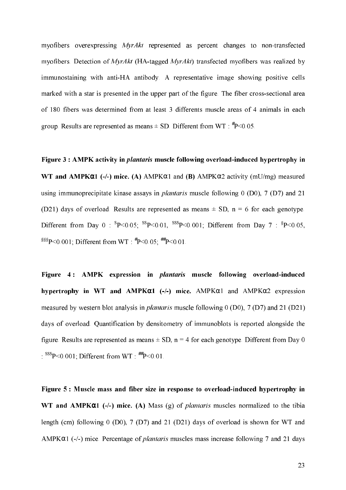myofibers overexpressing *MyrAkt* represented as percent changes to non-transfected myofibers. Detection of  $MyrAkt$  (HA-tagged  $MyrAkt$ ) transfected myofibers was realized by immunostaining with anti-HA antibody. A representative image showing positive cells marked with a star is presented in the upper part of the figure. The fiber cross-sectional area of 180 fibers was determined from at least 3 differents muscle areas of 4 animals in each group. Results are represented as means  $\pm$  SD. Different from WT:  $^{*}P$  < 0.05.

Figure 3 : AMPK activity in *plantaris* muscle following overload-induced hypertrophy in WT and AMPK $\alpha$ 1 (-/-) mice. (A) AMPK $\alpha$ 1 and (B) AMPK $\alpha$ 2 activity (mU/mg) measured using immunoprecipitate kinase assays in *plantaris* muscle following  $0$  (D0),  $7$  (D7) and 21 (D21) days of overload. Results are represented as means  $\pm$  SD, n = 6 for each genotype. Different from Day 0:  ${}^{8}P<0.05$ ;  ${}^{85}P<0.01$ ,  ${}^{858}P<0.001$ ; Different from Day 7:  ${}^{8}P<0.05$ , <sup>§§§</sup>P<0.001; Different from WT:  $^{#}P$ <0.05;  $^{#}P$  <0.01.

Figure 4: AMPK expression in *plantaris* muscle following overload-induced hypertrophy in WT and AMPK $\alpha$ 1 (-/-) mice. AMPK $\alpha$ 1 and AMPK $\alpha$ 2 expression measured by western blot analysis in *plantaris* muscle following  $0$  (D0),  $7$  (D7) and 21 (D21) days of overload. Quantification by densitometry of immunoblots is reported alongside the figure. Results are represented as means  $\pm$  SD, n = 4 for each genotype. Different from Day 0  $10^{\text{SS}}P<0.001$ ; Different from WT  $10^{\text{HHP}}<0.01$ .

Figure 5 : Muscle mass and fiber size in response to overload-induced hypertrophy in WT and AMPK $\alpha$ 1 (-/-) mice. (A) Mass (g) of *plantaris* muscles normalized to the tibia length (cm) following  $0$  (D0),  $7$  (D7) and  $21$  (D21) days of overload is shown for WT and  $AMPK\alpha1$  (-/-) mice. Percentage of *plantaris* muscles mass increase following 7 and 21 days